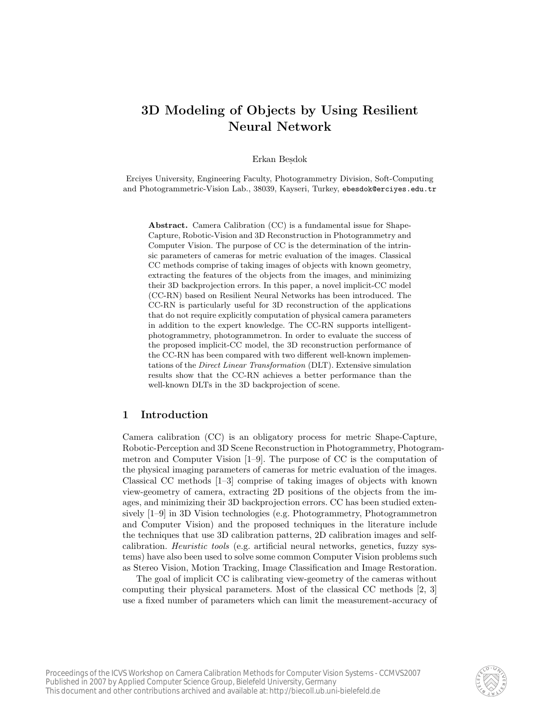# 3D Modeling of Objects by Using Resilient Neural Network

#### Erkan Besdok

Erciyes University, Engineering Faculty, Photogrammetry Division, Soft-Computing and Photogrammetric-Vision Lab., 38039, Kayseri, Turkey, ebesdok@erciyes.edu.tr

Abstract. Camera Calibration (CC) is a fundamental issue for Shape-Capture, Robotic-Vision and 3D Reconstruction in Photogrammetry and Computer Vision. The purpose of CC is the determination of the intrinsic parameters of cameras for metric evaluation of the images. Classical CC methods comprise of taking images of objects with known geometry, extracting the features of the objects from the images, and minimizing their 3D backprojection errors. In this paper, a novel implicit-CC model (CC-RN) based on Resilient Neural Networks has been introduced. The CC-RN is particularly useful for 3D reconstruction of the applications that do not require explicitly computation of physical camera parameters in addition to the expert knowledge. The CC-RN supports intelligentphotogrammetry, photogrammetron. In order to evaluate the success of the proposed implicit-CC model, the 3D reconstruction performance of the CC-RN has been compared with two different well-known implementations of the Direct Linear Transformation (DLT). Extensive simulation results show that the CC-RN achieves a better performance than the well-known DLTs in the 3D backprojection of scene.

#### 1 Introduction

Camera calibration (CC) is an obligatory process for metric Shape-Capture, Robotic-Perception and 3D Scene Reconstruction in Photogrammetry, Photogrammetron and Computer Vision [1–9]. The purpose of CC is the computation of the physical imaging parameters of cameras for metric evaluation of the images. Classical CC methods [1–3] comprise of taking images of objects with known view-geometry of camera, extracting 2D positions of the objects from the images, and minimizing their 3D backprojection errors. CC has been studied extensively [1–9] in 3D Vision technologies (e.g. Photogrammetry, Photogrammetron and Computer Vision) and the proposed techniques in the literature include the techniques that use 3D calibration patterns, 2D calibration images and selfcalibration. Heuristic tools (e.g. artificial neural networks, genetics, fuzzy systems) have also been used to solve some common Computer Vision problems such as Stereo Vision, Motion Tracking, Image Classification and Image Restoration.

The goal of implicit CC is calibrating view-geometry of the cameras without computing their physical parameters. Most of the classical CC methods [2, 3] use a fixed number of parameters which can limit the measurement-accuracy of

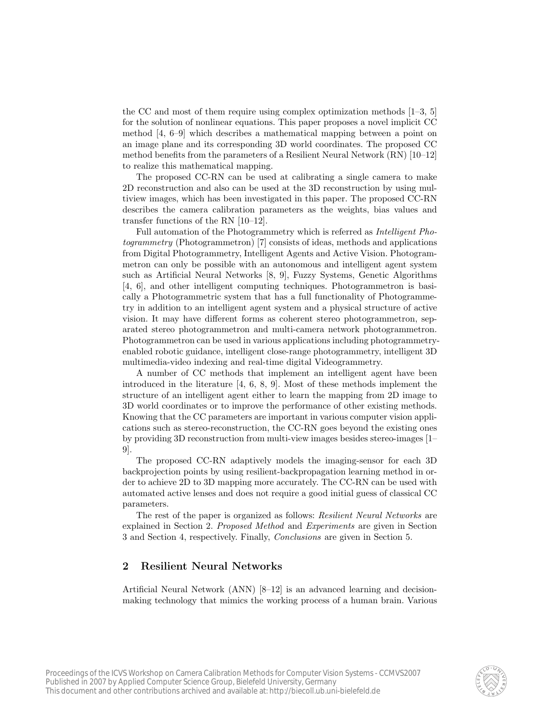the CC and most of them require using complex optimization methods  $[1-3, 5]$ for the solution of nonlinear equations. This paper proposes a novel implicit CC method [4, 6–9] which describes a mathematical mapping between a point on an image plane and its corresponding 3D world coordinates. The proposed CC method benefits from the parameters of a Resilient Neural Network (RN) [10–12] to realize this mathematical mapping.

The proposed CC-RN can be used at calibrating a single camera to make 2D reconstruction and also can be used at the 3D reconstruction by using multiview images, which has been investigated in this paper. The proposed CC-RN describes the camera calibration parameters as the weights, bias values and transfer functions of the RN [10–12].

Full automation of the Photogrammetry which is referred as Intelligent Photogrammetry (Photogrammetron) [7] consists of ideas, methods and applications from Digital Photogrammetry, Intelligent Agents and Active Vision. Photogrammetron can only be possible with an autonomous and intelligent agent system such as Artificial Neural Networks [8, 9], Fuzzy Systems, Genetic Algorithms [4, 6], and other intelligent computing techniques. Photogrammetron is basically a Photogrammetric system that has a full functionality of Photogrammetry in addition to an intelligent agent system and a physical structure of active vision. It may have different forms as coherent stereo photogrammetron, separated stereo photogrammetron and multi-camera network photogrammetron. Photogrammetron can be used in various applications including photogrammetryenabled robotic guidance, intelligent close-range photogrammetry, intelligent 3D multimedia-video indexing and real-time digital Videogrammetry.

A number of CC methods that implement an intelligent agent have been introduced in the literature [4, 6, 8, 9]. Most of these methods implement the structure of an intelligent agent either to learn the mapping from 2D image to 3D world coordinates or to improve the performance of other existing methods. Knowing that the CC parameters are important in various computer vision applications such as stereo-reconstruction, the CC-RN goes beyond the existing ones by providing 3D reconstruction from multi-view images besides stereo-images [1– 9].

The proposed CC-RN adaptively models the imaging-sensor for each 3D backprojection points by using resilient-backpropagation learning method in order to achieve 2D to 3D mapping more accurately. The CC-RN can be used with automated active lenses and does not require a good initial guess of classical CC parameters.

The rest of the paper is organized as follows: Resilient Neural Networks are explained in Section 2. Proposed Method and Experiments are given in Section 3 and Section 4, respectively. Finally, Conclusions are given in Section 5.

### 2 Resilient Neural Networks

Artificial Neural Network (ANN) [8–12] is an advanced learning and decisionmaking technology that mimics the working process of a human brain. Various

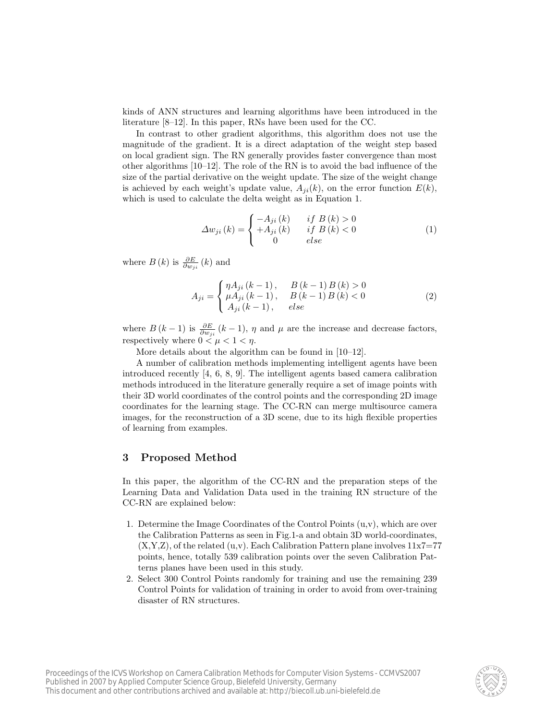kinds of ANN structures and learning algorithms have been introduced in the literature [8–12]. In this paper, RNs have been used for the CC.

In contrast to other gradient algorithms, this algorithm does not use the magnitude of the gradient. It is a direct adaptation of the weight step based on local gradient sign. The RN generally provides faster convergence than most other algorithms [10–12]. The role of the RN is to avoid the bad influence of the size of the partial derivative on the weight update. The size of the weight change is achieved by each weight's update value,  $A_{ji}(k)$ , on the error function  $E(k)$ , which is used to calculate the delta weight as in Equation 1.

$$
\Delta w_{ji}(k) = \begin{cases}\n-A_{ji}(k) & if B(k) > 0 \\
+A_{ji}(k) & if B(k) < 0 \\
0 & else\n\end{cases}
$$
\n(1)

where  $B(k)$  is  $\frac{\partial E}{\partial w_{ji}}(k)$  and

$$
A_{ji} = \begin{cases} \eta A_{ji} (k-1), & B(k-1)B(k) > 0\\ \mu A_{ji} (k-1), & B(k-1)B(k) < 0\\ A_{ji} (k-1), & else \end{cases}
$$
(2)

where  $B(k-1)$  is  $\frac{\partial E}{\partial w_{ji}}(k-1)$ ,  $\eta$  and  $\mu$  are the increase and decrease factors, respectively where  $0 < \mu < 1 < \eta$ .

More details about the algorithm can be found in [10–12].

A number of calibration methods implementing intelligent agents have been introduced recently [4, 6, 8, 9]. The intelligent agents based camera calibration methods introduced in the literature generally require a set of image points with their 3D world coordinates of the control points and the corresponding 2D image coordinates for the learning stage. The CC-RN can merge multisource camera images, for the reconstruction of a 3D scene, due to its high flexible properties of learning from examples.

#### 3 Proposed Method

In this paper, the algorithm of the CC-RN and the preparation steps of the Learning Data and Validation Data used in the training RN structure of the CC-RN are explained below:

- 1. Determine the Image Coordinates of the Control Points  $(u, v)$ , which are over the Calibration Patterns as seen in Fig.1-a and obtain 3D world-coordinates,  $(X,Y,Z)$ , of the related  $(u,v)$ . Each Calibration Pattern plane involves  $11x7=77$ points, hence, totally 539 calibration points over the seven Calibration Patterns planes have been used in this study.
- 2. Select 300 Control Points randomly for training and use the remaining 239 Control Points for validation of training in order to avoid from over-training disaster of RN structures.

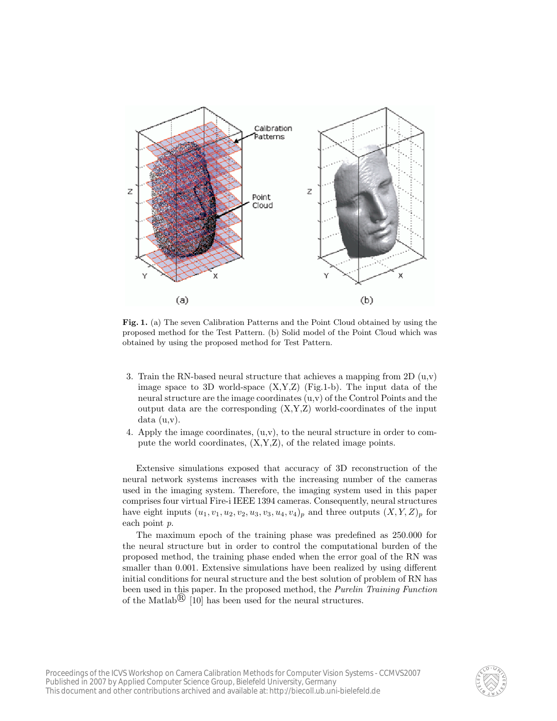

Fig. 1. (a) The seven Calibration Patterns and the Point Cloud obtained by using the proposed method for the Test Pattern. (b) Solid model of the Point Cloud which was obtained by using the proposed method for Test Pattern.

- 3. Train the RN-based neural structure that achieves a mapping from 2D  $(u,v)$ image space to 3D world-space  $(X, Y, Z)$  (Fig.1-b). The input data of the neural structure are the image coordinates (u,v) of the Control Points and the output data are the corresponding  $(X, Y, Z)$  world-coordinates of the input data (u,v).
- 4. Apply the image coordinates,  $(u,v)$ , to the neural structure in order to compute the world coordinates, (X,Y,Z), of the related image points.

Extensive simulations exposed that accuracy of 3D reconstruction of the neural network systems increases with the increasing number of the cameras used in the imaging system. Therefore, the imaging system used in this paper comprises four virtual Fire-i IEEE 1394 cameras. Consequently, neural structures have eight inputs  $(u_1, v_1, u_2, v_2, u_3, v_3, u_4, v_4)_p$  and three outputs  $(X, Y, Z)_p$  for each point p.

The maximum epoch of the training phase was predefined as 250.000 for the neural structure but in order to control the computational burden of the proposed method, the training phase ended when the error goal of the RN was smaller than 0.001. Extensive simulations have been realized by using different initial conditions for neural structure and the best solution of problem of RN has been used in this paper. In the proposed method, the Purelin Training Function of the Matlab<sup> $\circledR$ </sup> [10] has been used for the neural structures.

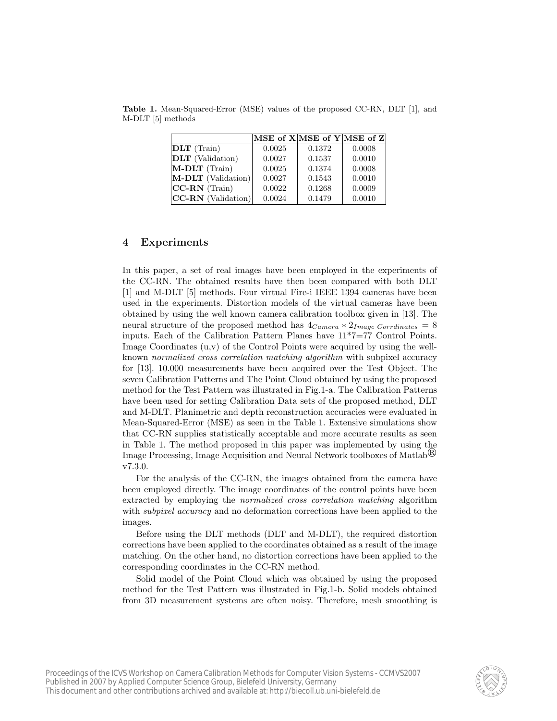|                         |        | MSE of $X MSE$ of $Y MSE$ of $Z$ |        |
|-------------------------|--------|----------------------------------|--------|
| DLT (Train)             | 0.0025 | 0.1372                           | 0.0008 |
| <b>DLT</b> (Validation) | 0.0027 | 0.1537                           | 0.0010 |
| M-DLT (Train)           | 0.0025 | 0.1374                           | 0.0008 |
| M-DLT (Validation)      | 0.0027 | 0.1543                           | 0.0010 |
| $ CC-RN$ (Train)        | 0.0022 | 0.1268                           | 0.0009 |
| $ CC-RN (Validation) $  | 0.0024 | 0.1479                           | 0.0010 |

Table 1. Mean-Squared-Error (MSE) values of the proposed CC-RN, DLT [1], and M-DLT [5] methods

#### 4 Experiments

In this paper, a set of real images have been employed in the experiments of the CC-RN. The obtained results have then been compared with both DLT [1] and M-DLT [5] methods. Four virtual Fire-i IEEE 1394 cameras have been used in the experiments. Distortion models of the virtual cameras have been obtained by using the well known camera calibration toolbox given in [13]. The neural structure of the proposed method has  $4_{Camera} * 2_{Image\ Corrdinates} = 8$ inputs. Each of the Calibration Pattern Planes have 11\*7=77 Control Points. Image Coordinates  $(u,v)$  of the Control Points were acquired by using the wellknown normalized cross correlation matching algorithm with subpixel accuracy for [13]. 10.000 measurements have been acquired over the Test Object. The seven Calibration Patterns and The Point Cloud obtained by using the proposed method for the Test Pattern was illustrated in Fig.1-a. The Calibration Patterns have been used for setting Calibration Data sets of the proposed method, DLT and M-DLT. Planimetric and depth reconstruction accuracies were evaluated in Mean-Squared-Error (MSE) as seen in the Table 1. Extensive simulations show that CC-RN supplies statistically acceptable and more accurate results as seen in Table 1. The method proposed in this paper was implemented by using the Image Processing, Image Acquisition and Neural Network toolboxes of Matlab<sup><sup>(B)</sup></sup> v7.3.0.

For the analysis of the CC-RN, the images obtained from the camera have been employed directly. The image coordinates of the control points have been extracted by employing the normalized cross correlation matching algorithm with *subpixel accuracy* and no deformation corrections have been applied to the images.

Before using the DLT methods (DLT and M-DLT), the required distortion corrections have been applied to the coordinates obtained as a result of the image matching. On the other hand, no distortion corrections have been applied to the corresponding coordinates in the CC-RN method.

Solid model of the Point Cloud which was obtained by using the proposed method for the Test Pattern was illustrated in Fig.1-b. Solid models obtained from 3D measurement systems are often noisy. Therefore, mesh smoothing is

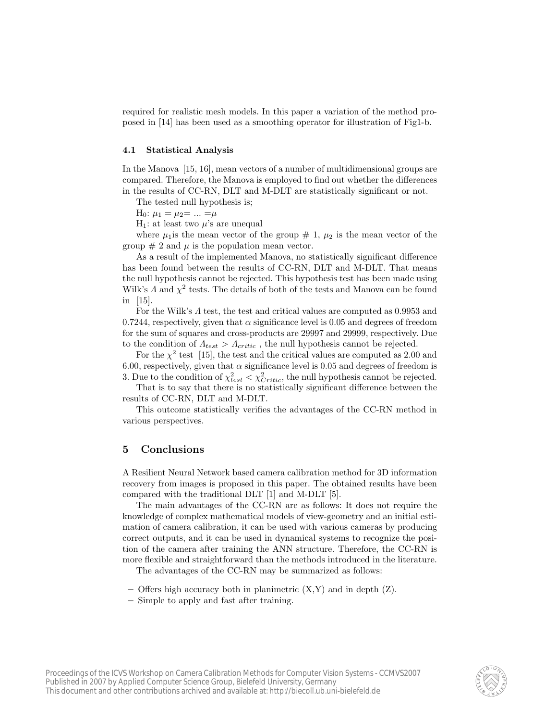required for realistic mesh models. In this paper a variation of the method proposed in [14] has been used as a smoothing operator for illustration of Fig1-b.

#### 4.1 Statistical Analysis

In the Manova [15, 16], mean vectors of a number of multidimensional groups are compared. Therefore, the Manova is employed to find out whether the differences in the results of CC-RN, DLT and M-DLT are statistically significant or not.

The tested null hypothesis is;

 $H_0: \mu_1 = \mu_2 = ... = \mu$ 

 $H_1$ : at least two  $\mu$ 's are unequal

where  $\mu_1$  is the mean vector of the group  $\#$  1,  $\mu_2$  is the mean vector of the group  $\# 2$  and  $\mu$  is the population mean vector.

As a result of the implemented Manova, no statistically significant difference has been found between the results of CC-RN, DLT and M-DLT. That means the null hypothesis cannot be rejected. This hypothesis test has been made using Wilk's  $\Lambda$  and  $\chi^2$  tests. The details of both of the tests and Manova can be found in [15].

For the Wilk's Λ test, the test and critical values are computed as 0.9953 and 0.7244, respectively, given that  $\alpha$  significance level is 0.05 and degrees of freedom for the sum of squares and cross-products are 29997 and 29999, respectively. Due to the condition of  $\Lambda_{test} > \Lambda_{critic}$ , the null hypothesis cannot be rejected.

For the  $\chi^2$  test [15], the test and the critical values are computed as 2.00 and 6.00, respectively, given that  $\alpha$  significance level is 0.05 and degrees of freedom is 3. Due to the condition of  $\chi^2_{test} < \chi^2_{Critic}$ , the null hypothesis cannot be rejected.

That is to say that there is no statistically significant difference between the results of CC-RN, DLT and M-DLT.

This outcome statistically verifies the advantages of the CC-RN method in various perspectives.

#### 5 Conclusions

A Resilient Neural Network based camera calibration method for 3D information recovery from images is proposed in this paper. The obtained results have been compared with the traditional DLT [1] and M-DLT [5].

The main advantages of the CC-RN are as follows: It does not require the knowledge of complex mathematical models of view-geometry and an initial estimation of camera calibration, it can be used with various cameras by producing correct outputs, and it can be used in dynamical systems to recognize the position of the camera after training the ANN structure. Therefore, the CC-RN is more flexible and straightforward than the methods introduced in the literature.

The advantages of the CC-RN may be summarized as follows:

- Offers high accuracy both in planimetric (X,Y) and in depth (Z).
- Simple to apply and fast after training.

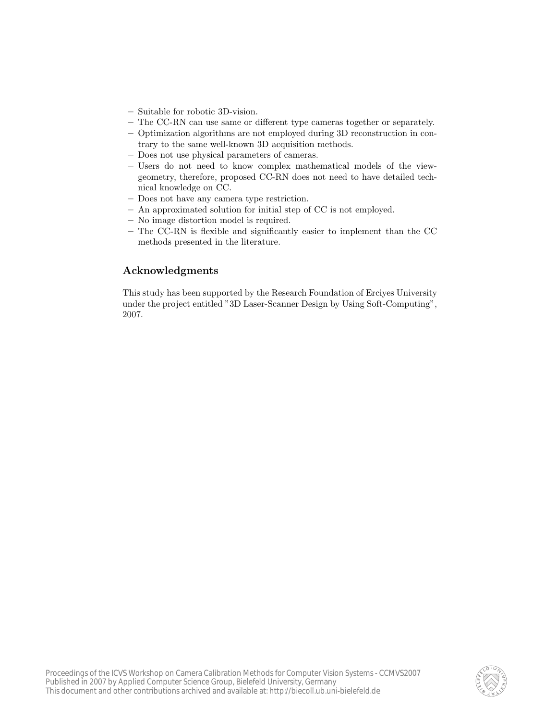- Suitable for robotic 3D-vision.
- The CC-RN can use same or different type cameras together or separately.
- Optimization algorithms are not employed during 3D reconstruction in contrary to the same well-known 3D acquisition methods.
- Does not use physical parameters of cameras.
- Users do not need to know complex mathematical models of the viewgeometry, therefore, proposed CC-RN does not need to have detailed technical knowledge on CC.
- Does not have any camera type restriction.
- An approximated solution for initial step of CC is not employed.
- No image distortion model is required.
- The CC-RN is flexible and significantly easier to implement than the CC methods presented in the literature.

## Acknowledgments

This study has been supported by the Research Foundation of Erciyes University under the project entitled "3D Laser-Scanner Design by Using Soft-Computing", 2007.